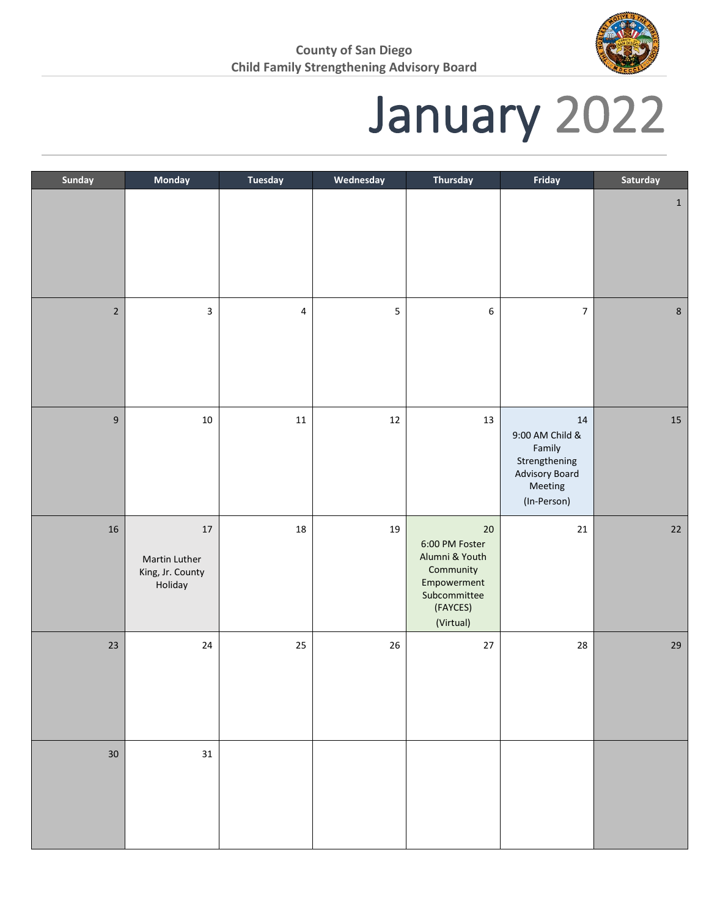

## January 2022

| Sunday           | Monday                                                 | <b>Tuesday</b>          | Wednesday | <b>Thursday</b>                                                                                                 | Friday                                                                                           | Saturday     |
|------------------|--------------------------------------------------------|-------------------------|-----------|-----------------------------------------------------------------------------------------------------------------|--------------------------------------------------------------------------------------------------|--------------|
|                  |                                                        |                         |           |                                                                                                                 |                                                                                                  | $\mathbf{1}$ |
| $\sqrt{2}$       | 3                                                      | $\overline{\mathbf{4}}$ | 5         | 6                                                                                                               | $\overline{7}$                                                                                   | $\bf 8$      |
| $\boldsymbol{9}$ | $10\,$                                                 | $11\,$                  | $12\,$    | $13\,$                                                                                                          | $14\,$<br>9:00 AM Child &<br>Family<br>Strengthening<br>Advisory Board<br>Meeting<br>(In-Person) | $15\,$       |
| $16\,$           | $17\,$<br>Martin Luther<br>King, Jr. County<br>Holiday | $18\,$                  | 19        | $20\,$<br>6:00 PM Foster<br>Alumni & Youth<br>Community<br>Empowerment<br>Subcommittee<br>(FAYCES)<br>(Virtual) | $21\,$                                                                                           | $22\,$       |
| 23               | $24\,$                                                 | 25                      | $26\,$    | $27\,$                                                                                                          | 28                                                                                               | $29\,$       |
| 30               | 31                                                     |                         |           |                                                                                                                 |                                                                                                  |              |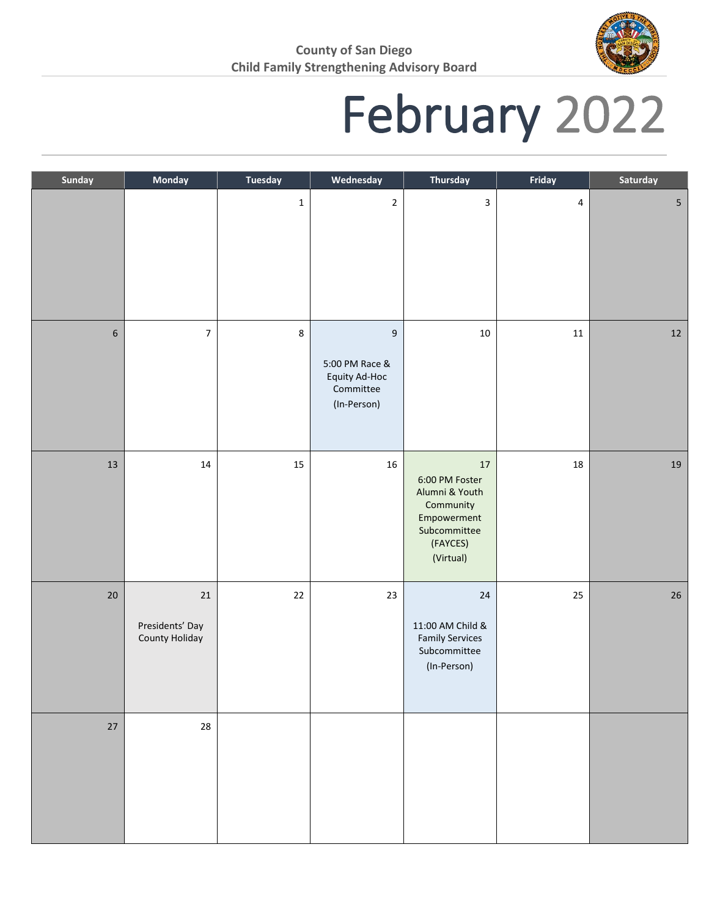

## February 2022

| Sunday           | <b>Monday</b>                               | <b>Tuesday</b> | Wednesday                                                                       | <b>Thursday</b>                                                                                                 | Friday    | Saturday        |
|------------------|---------------------------------------------|----------------|---------------------------------------------------------------------------------|-----------------------------------------------------------------------------------------------------------------|-----------|-----------------|
|                  |                                             | $\mathbf 1$    | $\mathbf 2$                                                                     | $\overline{3}$                                                                                                  | $\pmb{4}$ | $5\phantom{.0}$ |
| $\boldsymbol{6}$ | $\overline{7}$                              | 8              | $\boldsymbol{9}$<br>5:00 PM Race &<br>Equity Ad-Hoc<br>Committee<br>(In-Person) | $10\,$                                                                                                          | $11\,$    | 12              |
| 13               | $14\,$                                      | 15             | $16\,$                                                                          | $17\,$<br>6:00 PM Foster<br>Alumni & Youth<br>Community<br>Empowerment<br>Subcommittee<br>(FAYCES)<br>(Virtual) | 18        | 19              |
| $20\,$           | $21\,$<br>Presidents' Day<br>County Holiday | $22\,$         | 23                                                                              | 24<br>11:00 AM Child &<br><b>Family Services</b><br>Subcommittee<br>(In-Person)                                 | 25        | $26\,$          |
| 27               | 28                                          |                |                                                                                 |                                                                                                                 |           |                 |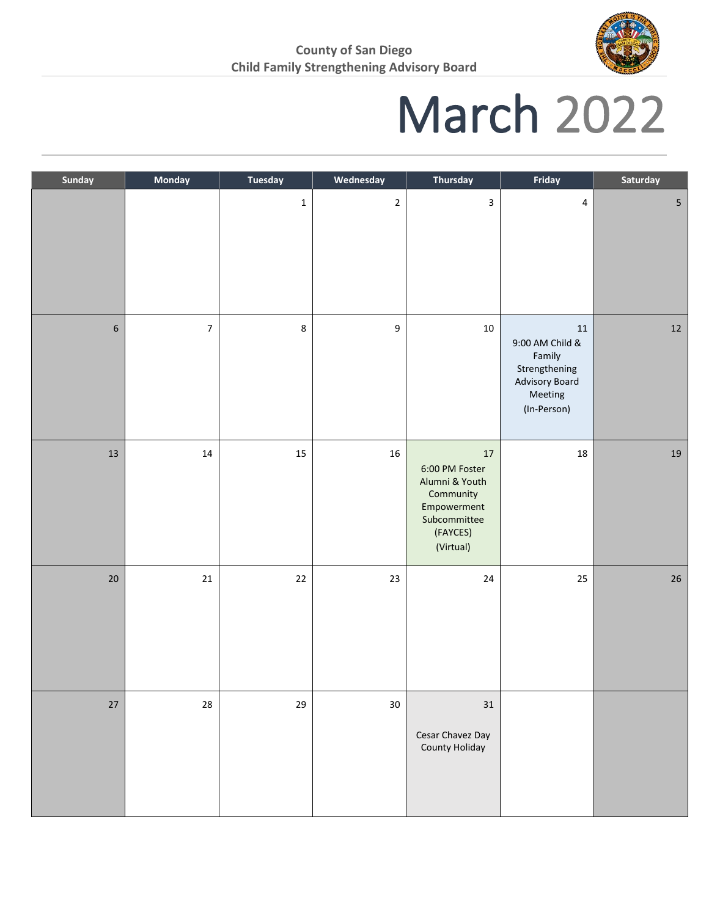

### March 2022

| Sunday           | Monday                  | <b>Tuesday</b> | Wednesday        | Thursday                                                                                                        | Friday                                                                                       | Saturday       |
|------------------|-------------------------|----------------|------------------|-----------------------------------------------------------------------------------------------------------------|----------------------------------------------------------------------------------------------|----------------|
|                  |                         | $\mathbf 1$    | $\mathbf{2}$     | 3                                                                                                               | $\overline{4}$                                                                               | $\overline{5}$ |
| $\boldsymbol{6}$ | $\overline{\mathbf{z}}$ | 8              | $\boldsymbol{9}$ | $10\,$                                                                                                          | 11<br>9:00 AM Child &<br>Family<br>Strengthening<br>Advisory Board<br>Meeting<br>(In-Person) | $12\,$         |
| $13\,$           | $14\,$                  | 15             | 16               | $17\,$<br>6:00 PM Foster<br>Alumni & Youth<br>Community<br>Empowerment<br>Subcommittee<br>(FAYCES)<br>(Virtual) | 18                                                                                           | $19\,$         |
| $20\,$           | $21\,$                  | $22\,$         | $23\,$           | $24\,$                                                                                                          | 25                                                                                           | $26\,$         |
| $27\,$           | 28                      | 29             | $30\,$           | $31\,$<br>Cesar Chavez Day<br>County Holiday                                                                    |                                                                                              |                |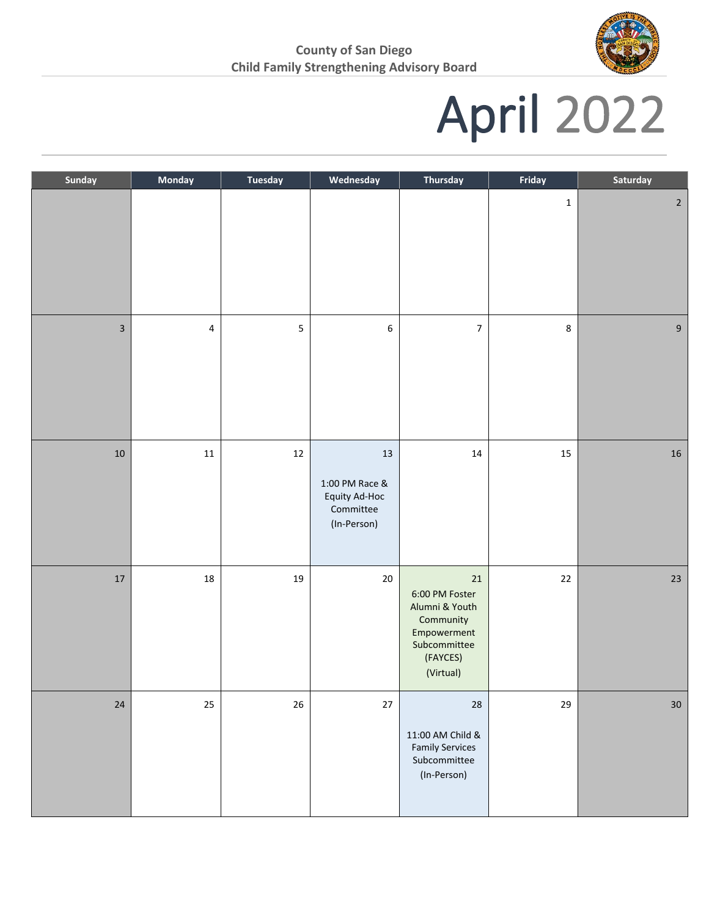

# April 2022

| Sunday                  | Monday    | <b>Tuesday</b> | Wednesday                                                         | <b>Thursday</b>                                                                                                 | Friday      | Saturday       |
|-------------------------|-----------|----------------|-------------------------------------------------------------------|-----------------------------------------------------------------------------------------------------------------|-------------|----------------|
|                         |           |                |                                                                   |                                                                                                                 | $\mathbf 1$ | $\overline{2}$ |
| $\overline{\mathbf{3}}$ | $\pmb{4}$ | 5              | $\boldsymbol{6}$                                                  | $\boldsymbol{7}$                                                                                                | 8           | $\overline{9}$ |
| $10\,$                  | $11\,$    | $12\,$         | 13<br>1:00 PM Race &<br>Equity Ad-Hoc<br>Committee<br>(In-Person) | $14\,$                                                                                                          | $15\,$      | ${\bf 16}$     |
| $17\,$                  | 18        | 19             | $20\,$                                                            | $21\,$<br>6:00 PM Foster<br>Alumni & Youth<br>Community<br>Empowerment<br>Subcommittee<br>(FAYCES)<br>(Virtual) | $22\,$      | $23\,$         |
| $24\,$                  | 25        | 26             | $27\,$                                                            | 28<br>11:00 AM Child &<br><b>Family Services</b><br>Subcommittee<br>(In-Person)                                 | 29          | $30\,$         |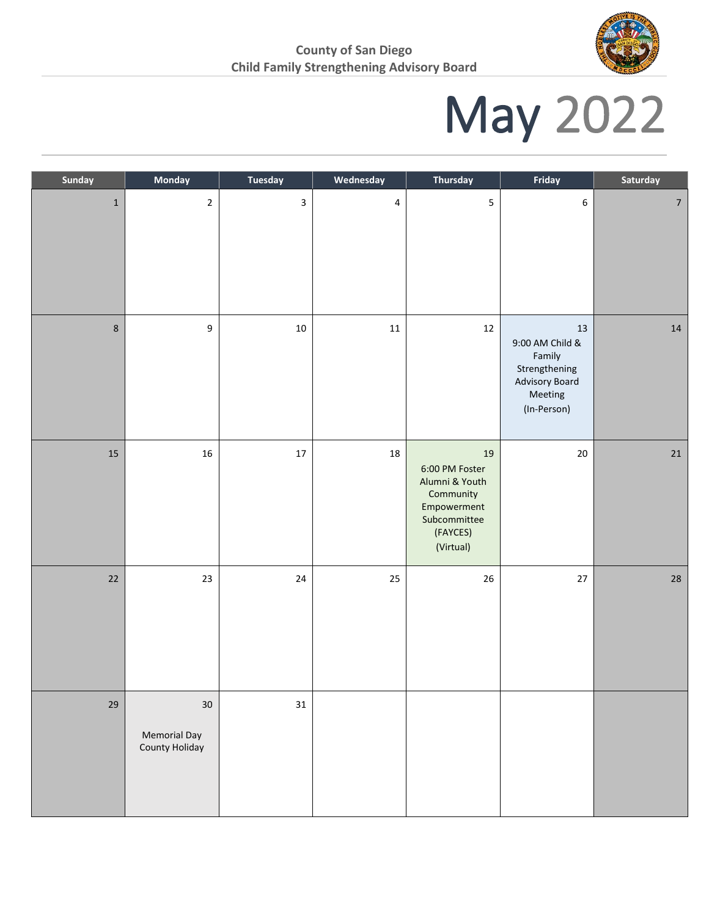

# May 2022

| Sunday      | Monday                                          | <b>Tuesday</b> | Wednesday      | <b>Thursday</b>                                                                                             | Friday                                                                                           | Saturday       |
|-------------|-------------------------------------------------|----------------|----------------|-------------------------------------------------------------------------------------------------------------|--------------------------------------------------------------------------------------------------|----------------|
| $\mathbf 1$ | $\mathbf{2}$                                    | 3              | $\overline{4}$ | $\overline{5}$                                                                                              | $\boldsymbol{6}$                                                                                 | $\overline{7}$ |
| $\bf 8$     | 9                                               | $10\,$         | $11\,$         | 12                                                                                                          | $13\,$<br>9:00 AM Child &<br>Family<br>Strengthening<br>Advisory Board<br>Meeting<br>(In-Person) | $14\,$         |
| $15\,$      | 16                                              | $17\,$         | 18             | 19<br>6:00 PM Foster<br>Alumni & Youth<br>Community<br>Empowerment<br>Subcommittee<br>(FAYCES)<br>(Virtual) | $20\,$                                                                                           | 21             |
| $22\,$      | $23\,$                                          | $24$           | $25\,$         | 26                                                                                                          | $27\,$                                                                                           | ${\bf 28}$     |
| 29          | $30\,$<br><b>Memorial Day</b><br>County Holiday | 31             |                |                                                                                                             |                                                                                                  |                |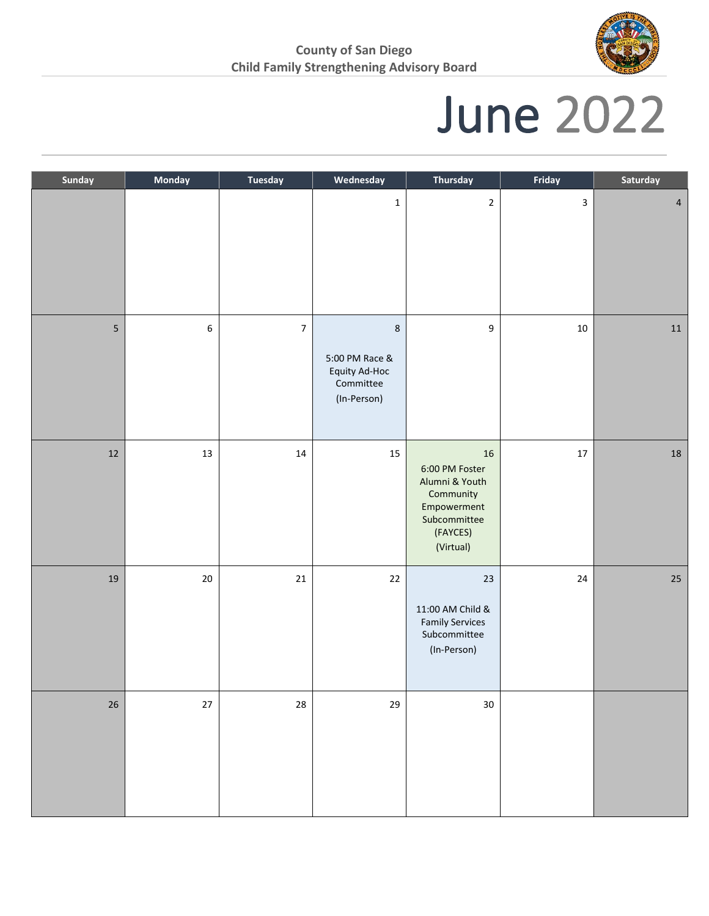

### June 2022

| Sunday | Monday  | <b>Tuesday</b> | Wednesday                                                              | <b>Thursday</b>                                                                                             | Friday       | Saturday       |
|--------|---------|----------------|------------------------------------------------------------------------|-------------------------------------------------------------------------------------------------------------|--------------|----------------|
|        |         |                | $\mathbf 1$                                                            | $\overline{2}$                                                                                              | $\mathbf{3}$ | $\overline{4}$ |
| 5      | $\sf 6$ | $\overline{7}$ | $\,8\,$<br>5:00 PM Race &<br>Equity Ad-Hoc<br>Committee<br>(In-Person) | 9                                                                                                           | $10\,$       | $11\,$         |
| $12\,$ | $13\,$  | $14\,$         | 15                                                                     | 16<br>6:00 PM Foster<br>Alumni & Youth<br>Community<br>Empowerment<br>Subcommittee<br>(FAYCES)<br>(Virtual) | $17\,$       | ${\bf 18}$     |
| 19     | $20\,$  | 21             | $22\,$                                                                 | 23<br>11:00 AM Child &<br><b>Family Services</b><br>Subcommittee<br>(In-Person)                             | 24           | $25\,$         |
| $26\,$ | $27\,$  | ${\bf 28}$     | 29                                                                     | $30\,$                                                                                                      |              |                |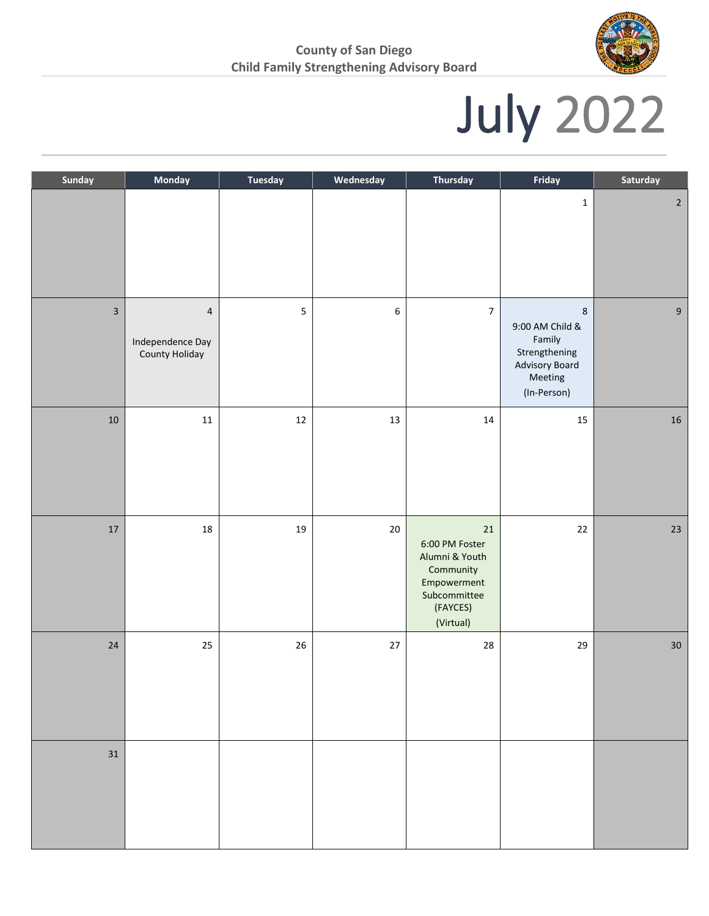

# July 2022

| Sunday                  | Monday                                               | <b>Tuesday</b> | Wednesday        | <b>Thursday</b>                                                                                                 | Friday                                                                                                | Saturday       |
|-------------------------|------------------------------------------------------|----------------|------------------|-----------------------------------------------------------------------------------------------------------------|-------------------------------------------------------------------------------------------------------|----------------|
|                         |                                                      |                |                  |                                                                                                                 | $\mathbf 1$                                                                                           | $\overline{2}$ |
| $\overline{\mathbf{3}}$ | $\overline{4}$<br>Independence Day<br>County Holiday | 5              | $\boldsymbol{6}$ | $\overline{\mathbf{7}}$                                                                                         | $\,$ 8 $\,$<br>9:00 AM Child &<br>Family<br>Strengthening<br>Advisory Board<br>Meeting<br>(In-Person) | $9\,$          |
| $10\,$                  | $11\,$                                               | $12\,$         | 13               | $14\,$                                                                                                          | $15\,$                                                                                                | ${\bf 16}$     |
| $17\,$                  | $18\,$                                               | $19\,$         | $20\,$           | $21\,$<br>6:00 PM Foster<br>Alumni & Youth<br>Community<br>Empowerment<br>Subcommittee<br>(FAYCES)<br>(Virtual) | 22                                                                                                    | $23\,$         |
| $24\,$                  | $25\,$                                               | $26\,$         | $27\,$           | ${\bf 28}$                                                                                                      | 29                                                                                                    | $30\,$         |
| $31\,$                  |                                                      |                |                  |                                                                                                                 |                                                                                                       |                |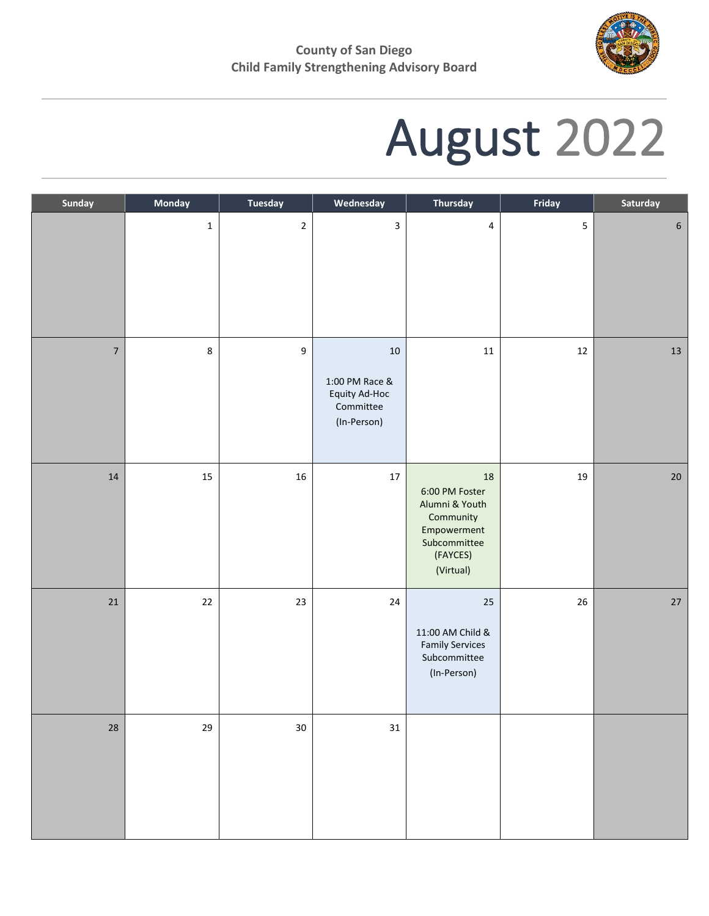

# August 2022

| Sunday     | Monday      | Tuesday      | Wednesday                                                         | <b>Thursday</b>                                                                                                 | Friday | Saturday         |
|------------|-------------|--------------|-------------------------------------------------------------------|-----------------------------------------------------------------------------------------------------------------|--------|------------------|
|            | $\mathbf 1$ | $\mathbf{2}$ | $\overline{\mathbf{3}}$                                           | $\pmb{4}$                                                                                                       | 5      | $\boldsymbol{6}$ |
| $\sqrt{ }$ | $\,8\,$     | 9            | 10<br>1:00 PM Race &<br>Equity Ad-Hoc<br>Committee<br>(In-Person) | $11\,$                                                                                                          | $12\,$ | $13\,$           |
| 14         | 15          | $16\,$       | $17\,$                                                            | $18\,$<br>6:00 PM Foster<br>Alumni & Youth<br>Community<br>Empowerment<br>Subcommittee<br>(FAYCES)<br>(Virtual) | 19     | $20\,$           |
| 21         | $22\,$      | 23           | $24\,$                                                            | 25<br>11:00 AM Child &<br><b>Family Services</b><br>Subcommittee<br>(In-Person)                                 | 26     | $27\,$           |
| 28         | 29          | $30\,$       | $31\,$                                                            |                                                                                                                 |        |                  |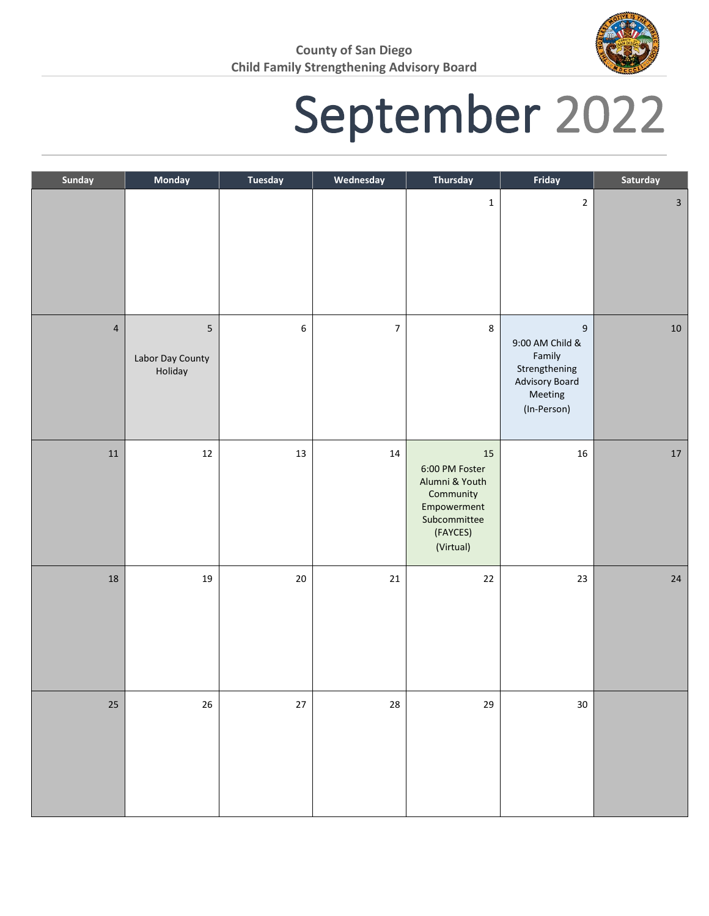

## September 2022

| Sunday         | Monday                           | Tuesday | Wednesday        | <b>Thursday</b>                                                                                             | Friday                                                                                                     | Saturday     |
|----------------|----------------------------------|---------|------------------|-------------------------------------------------------------------------------------------------------------|------------------------------------------------------------------------------------------------------------|--------------|
|                |                                  |         |                  | $\mathbf 1$                                                                                                 | $\sqrt{2}$                                                                                                 | $\mathbf{3}$ |
| $\overline{4}$ | 5<br>Labor Day County<br>Holiday | 6       | $\boldsymbol{7}$ | $\,8\,$                                                                                                     | $\boldsymbol{9}$<br>9:00 AM Child &<br>Family<br>Strengthening<br>Advisory Board<br>Meeting<br>(In-Person) | $10\,$       |
| $11\,$         | $12\,$                           | 13      | $14\,$           | 15<br>6:00 PM Foster<br>Alumni & Youth<br>Community<br>Empowerment<br>Subcommittee<br>(FAYCES)<br>(Virtual) | $16\,$                                                                                                     | $17\,$       |
| $18\,$         | 19                               | $20\,$  | $21\,$           | 22                                                                                                          | 23                                                                                                         | $24\,$       |
| $25\,$         | $26\,$                           | $27$    | 28               | 29                                                                                                          | $30\,$                                                                                                     |              |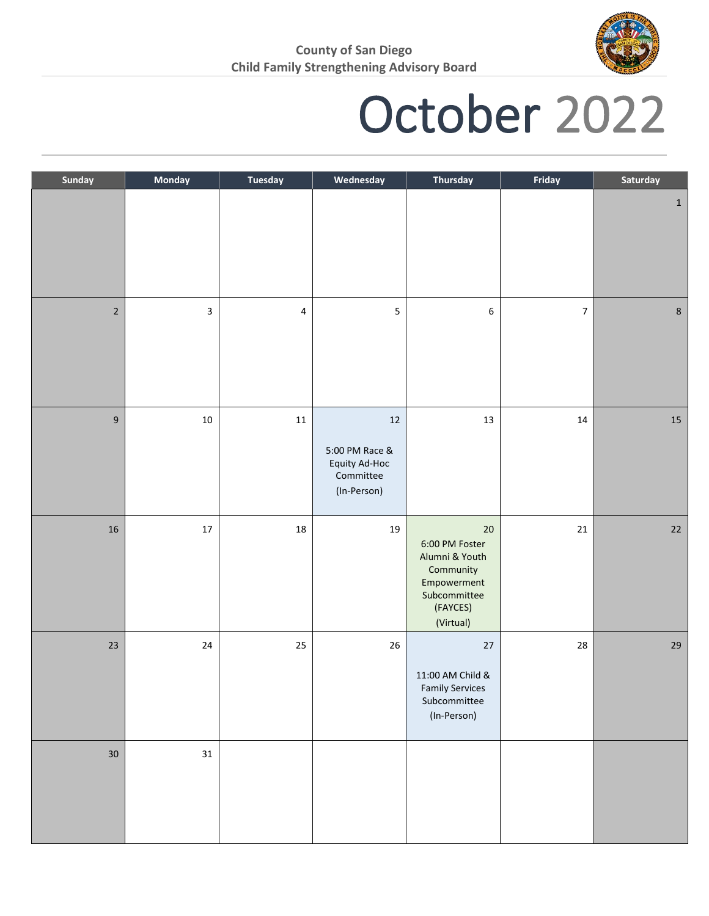

### October 2022

| Sunday           | Monday | <b>Tuesday</b>          | Wednesday                                                             | <b>Thursday</b>                                                                                                 | Friday         | Saturday |
|------------------|--------|-------------------------|-----------------------------------------------------------------------|-----------------------------------------------------------------------------------------------------------------|----------------|----------|
|                  |        |                         |                                                                       |                                                                                                                 |                | $1\,$    |
| $\sqrt{2}$       | 3      | $\overline{\mathbf{4}}$ | 5                                                                     | 6                                                                                                               | $\overline{7}$ | $\bf 8$  |
| $\boldsymbol{9}$ | $10\,$ | ${\bf 11}$              | $12\,$<br>5:00 PM Race &<br>Equity Ad-Hoc<br>Committee<br>(In-Person) | $13\,$                                                                                                          | $14\,$         | $15\,$   |
| 16               | $17\,$ | $18\,$                  | 19                                                                    | $20\,$<br>6:00 PM Foster<br>Alumni & Youth<br>Community<br>Empowerment<br>Subcommittee<br>(FAYCES)<br>(Virtual) | $21\,$         | $22\,$   |
| 23               | $24\,$ | 25                      | 26                                                                    | $27$<br>11:00 AM Child &<br><b>Family Services</b><br>Subcommittee<br>(In-Person)                               | 28             | $29\,$   |
| 30 <sub>o</sub>  | 31     |                         |                                                                       |                                                                                                                 |                |          |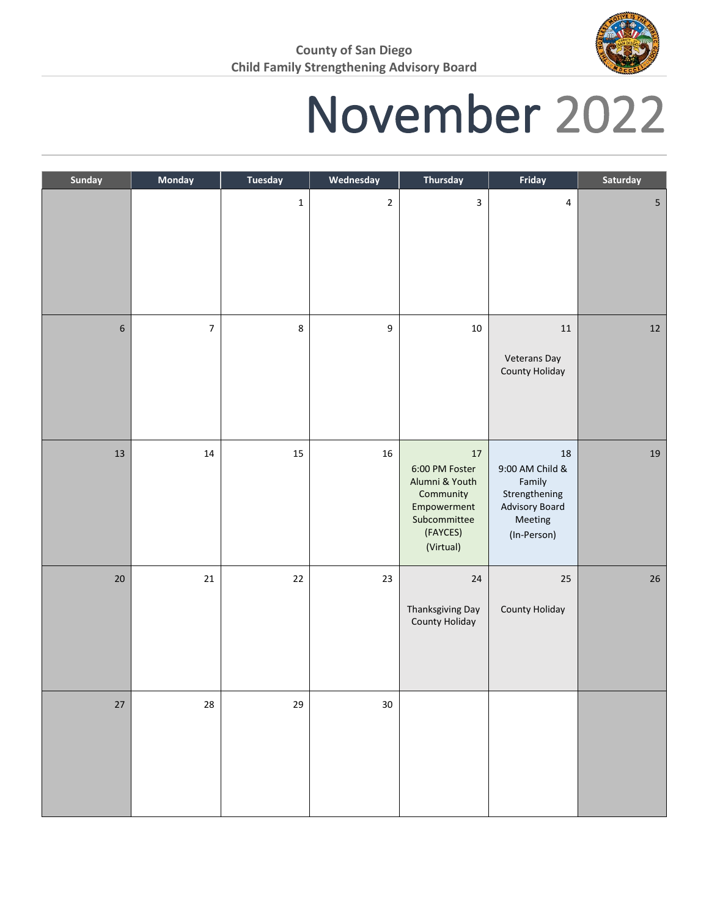

## November 2022

| Sunday           | Monday                   | <b>Tuesday</b> | Wednesday        | <b>Thursday</b>                                                                                               | Friday                                                                                       | Saturday   |
|------------------|--------------------------|----------------|------------------|---------------------------------------------------------------------------------------------------------------|----------------------------------------------------------------------------------------------|------------|
|                  |                          | $\mathbf 1$    | $\overline{2}$   | $\mathbf{3}$                                                                                                  | 4                                                                                            | $\sqrt{5}$ |
| $\boldsymbol{6}$ | $\overline{\phantom{a}}$ | 8              | $\boldsymbol{9}$ | $10\,$                                                                                                        | $11\,$<br>Veterans Day<br>County Holiday                                                     | 12         |
| 13               | $14\,$                   | 15             | $16\,$           | $17$<br>6:00 PM Foster<br>Alumni & Youth<br>Community<br>Empowerment<br>Subcommittee<br>(FAYCES)<br>(Virtual) | 18<br>9:00 AM Child &<br>Family<br>Strengthening<br>Advisory Board<br>Meeting<br>(In-Person) | 19         |
| 20               | $21\,$                   | $22\,$         | 23               | 24<br>Thanksgiving Day<br>County Holiday                                                                      | 25<br>County Holiday                                                                         | $26\,$     |
| $27\,$           | ${\bf 28}$               | 29             | $30\,$           |                                                                                                               |                                                                                              |            |